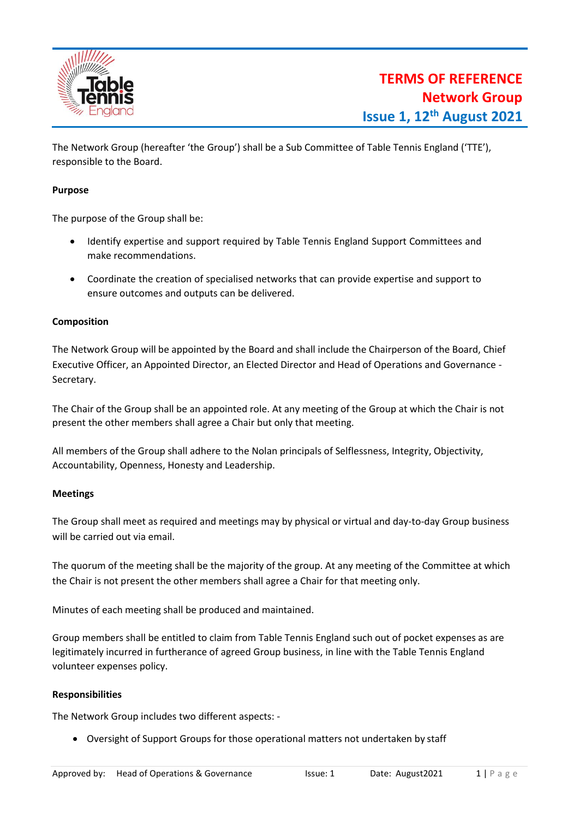

The Network Group (hereafter 'the Group') shall be a Sub Committee of Table Tennis England ('TTE'), responsible to the Board.

## **Purpose**

The purpose of the Group shall be:

- Identify expertise and support required by Table Tennis England Support Committees and make recommendations.
- Coordinate the creation of specialised networks that can provide expertise and support to ensure outcomes and outputs can be delivered.

## **Composition**

The Network Group will be appointed by the Board and shall include the Chairperson of the Board, Chief Executive Officer, an Appointed Director, an Elected Director and Head of Operations and Governance - Secretary.

The Chair of the Group shall be an appointed role. At any meeting of the Group at which the Chair is not present the other members shall agree a Chair but only that meeting.

All members of the Group shall adhere to the Nolan principals of Selflessness, Integrity, Objectivity, Accountability, Openness, Honesty and Leadership.

## **Meetings**

The Group shall meet as required and meetings may by physical or virtual and day-to-day Group business will be carried out via email.

The quorum of the meeting shall be the majority of the group. At any meeting of the Committee at which the Chair is not present the other members shall agree a Chair for that meeting only.

Minutes of each meeting shall be produced and maintained.

Group members shall be entitled to claim from Table Tennis England such out of pocket expenses as are legitimately incurred in furtherance of agreed Group business, in line with the Table Tennis England volunteer expenses policy.

## **Responsibilities**

The Network Group includes two different aspects: -

• Oversight of Support Groups for those operational matters not undertaken by staff